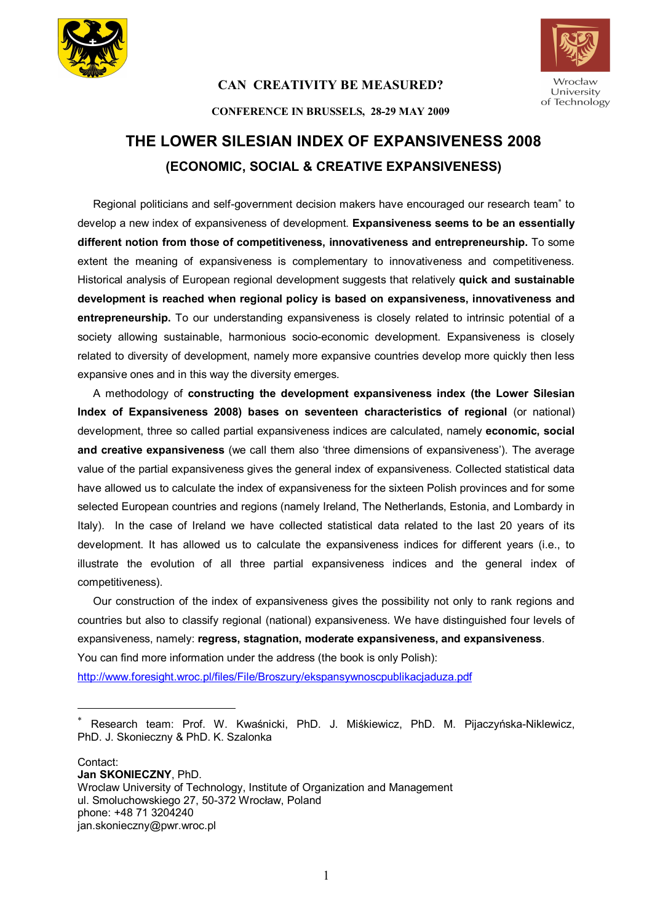

 $\overline{a}$ 

### **CAN CREATIVITY BE MEASURED?**



#### **CONFERENCE IN BRUSSELS, 28-29 MAY 2009**

# **THE LOWER SILESIAN INDEX OF EXPANSIVENESS 2008 (ECONOMIC, SOCIAL & CREATIVE EXPANSIVENESS)**

Regional politicians and self-government decision makers have encouraged our research team<sup>®</sup> to develop a new index of expansiveness of development. **Expansiveness seems to be an essentially different notion from those of competitiveness, innovativeness and entrepreneurship.** To some extent the meaning of expansiveness is complementary to innovativeness and competitiveness. Historical analysis of European regional development suggests that relatively **quick and sustainable development is reached when regional policy is based on expansiveness, innovativeness and entrepreneurship.** To our understanding expansiveness is closely related to intrinsic potential of a society allowing sustainable, harmonious socio-economic development. Expansiveness is closely related to diversity of development, namely more expansive countries develop more quickly then less expansive ones and in this way the diversity emerges.

A methodology of **constructing the development expansiveness index (the Lower Silesian Index of Expansiveness 2008) bases on seventeen characteristics of regional** (or national) development, three so called partial expansiveness indices are calculated, namely **economic, social and creative expansiveness** (we call them also 'three dimensions of expansiveness'). The average value of the partial expansiveness gives the general index of expansiveness. Collected statistical data have allowed us to calculate the index of expansiveness for the sixteen Polish provinces and for some selected European countries and regions (namely Ireland, The Netherlands, Estonia, and Lombardy in Italy). In the case of Ireland we have collected statistical data related to the last 20 years of its development. It has allowed us to calculate the expansiveness indices for different years (i.e., to illustrate the evolution of all three partial expansiveness indices and the general index of competitiveness).

Our construction of the index of expansiveness gives the possibility not only to rank regions and countries but also to classify regional (national) expansiveness. We have distinguished four levels of expansiveness, namely: **regress, stagnation, moderate expansiveness, and expansiveness**. You can find more information under the address (the book is only Polish): http://www.foresight.wroc.pl/files/File/Broszury/ekspansywnoscpublikacjaduza.pdf

Contact: **Jan SKONIECZNY**, PhD. Wroclaw University of Technology, Institute of Organization and Management ul. Smoluchowskiego 27, 50-372 Wrocław, Poland phone: +48 71 3204240 jan.skonieczny@pwr.wroc.pl

<sup>\*</sup> Research team: Prof. W. Kwaśnicki, PhD. J. Miśkiewicz, PhD. M. Pijaczyńska-Niklewicz, PhD. J. Skonieczny & PhD. K. Szalonka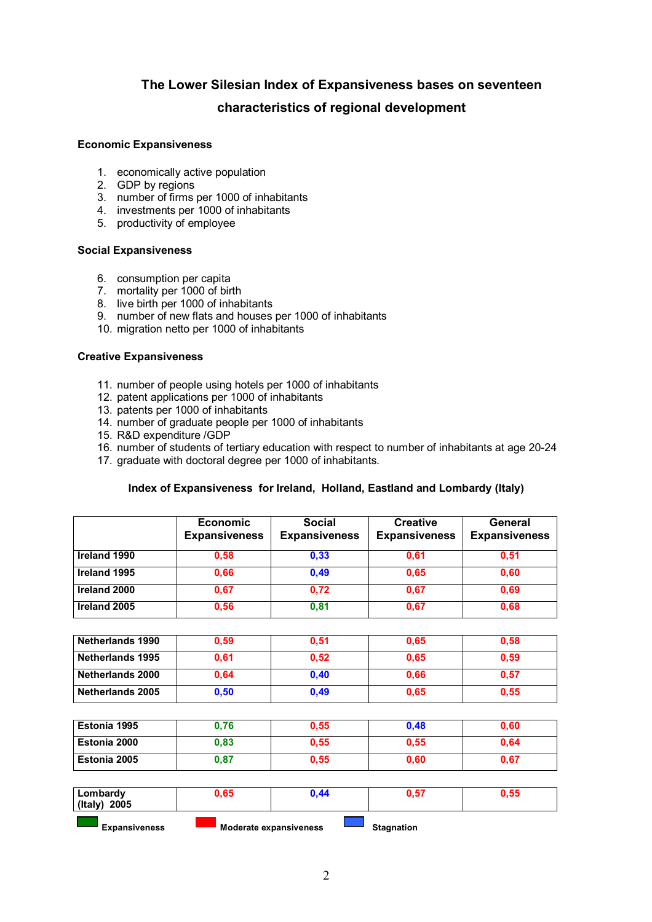## **The Lower Silesian Index of Expansiveness bases on seventeen characteristics of regional development**

#### **Economic Expansiveness**

- 1. economically active population
- 2. GDP by regions
- 3. number of firms per 1000 of inhabitants
- 4. investments per 1000 of inhabitants
- 5. productivity of employee

#### **Social Expansiveness**

- 6. consumption per capita
- 7. mortality per 1000 of birth
- 8. live birth per 1000 of inhabitants
- 9. number of new flats and houses per 1000 of inhabitants
- 10. migration netto per 1000 of inhabitants

#### **Creative Expansiveness**

- 11. number of people using hotels per 1000 of inhabitants
- 12. patent applications per 1000 of inhabitants
- 13. patents per 1000 of inhabitants
- 14. number of graduate people per 1000 of inhabitants
- 15. R&D expenditure /GDP
- 16. number of students of tertiary education with respect to number of inhabitants at age 20-24
- 17. graduate with doctoral degree per 1000 of inhabitants.

### **Index of Expansiveness for Ireland, Holland, Eastland and Lombardy (Italy)**

|                         | <b>Economic</b><br><b>Expansiveness</b> | <b>Social</b><br><b>Expansiveness</b> | <b>Creative</b><br><b>Expansiveness</b> | General<br><b>Expansiveness</b> |
|-------------------------|-----------------------------------------|---------------------------------------|-----------------------------------------|---------------------------------|
| Ireland 1990            | 0,58                                    | 0,33                                  | 0,61                                    | 0,51                            |
| Ireland 1995            | 0,66                                    | 0,49                                  | 0,65                                    | 0,60                            |
| Ireland 2000            | 0,67                                    | 0,72                                  | 0,67                                    | 0,69                            |
| Ireland 2005            | 0,56                                    | 0,81                                  | 0,67                                    | 0,68                            |
|                         |                                         |                                       |                                         |                                 |
| <b>Netherlands 1990</b> | 0,59                                    | 0,51                                  | 0,65                                    | 0,58                            |

| <b>INGLIGHATIUS 1990</b> | v,vo | v,v i | v,vJ | v,vv |
|--------------------------|------|-------|------|------|
| Netherlands 1995         | 0.61 | 0.52  | 0.65 | 0,59 |
| Netherlands 2000         | 0.64 | 0.40  | 0.66 | 0,57 |
| <b>Netherlands 2005</b>  | 0,50 | 0.49  | 0.65 | 0,55 |

| Estonia 1995 | 1.76 | 0.55 | 0.48 | 0,60 |
|--------------|------|------|------|------|
| Estonia 2000 | 0.83 | 0.55 | 0,55 | 0.64 |
| Estonia 2005 | 0,87 | 0,55 | 0,60 | 0,67 |

| Lombardy<br>(Italy) 2005 | 0,65 | 0.44                   | 0.57              | 0,55 |
|--------------------------|------|------------------------|-------------------|------|
| <b>Expansiveness</b>     |      | Moderate expansiveness | <b>Stagnation</b> |      |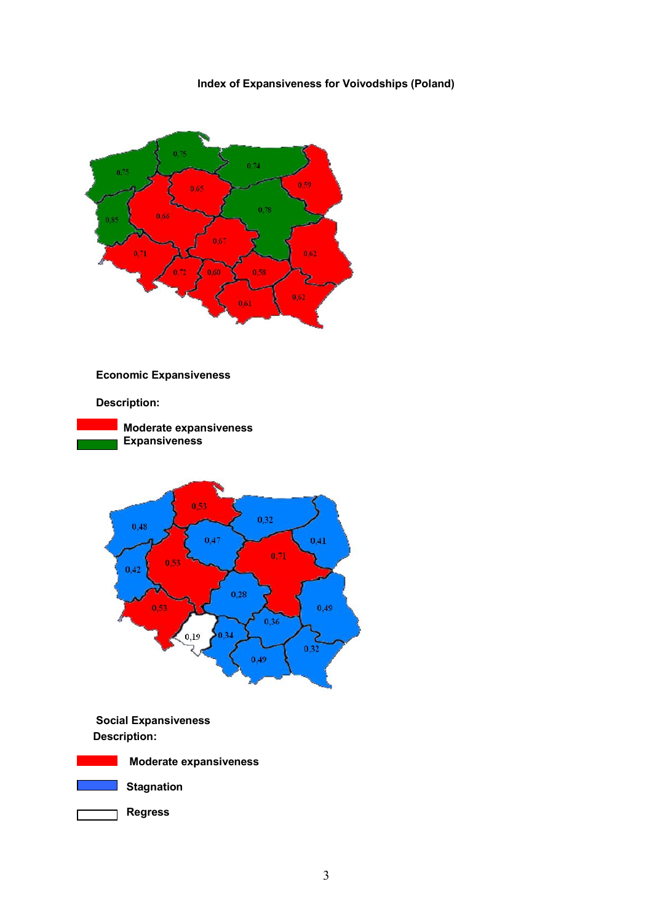#### **Index of Expansiveness for Voivodships (Poland)**





**Stagnation** 



3